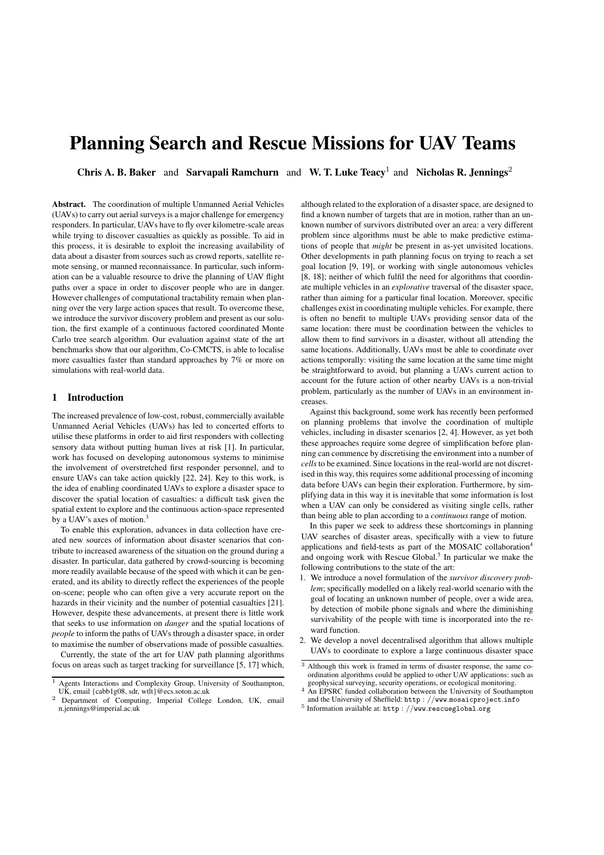# Planning Search and Rescue Missions for UAV Teams

Chris A. B. Baker and Sarvapali Ramchurn and W. T. Luke Teacy<sup>1</sup> and Nicholas R. Jennings<sup>2</sup>

Abstract. The coordination of multiple Unmanned Aerial Vehicles (UAVs) to carry out aerial surveys is a major challenge for emergency responders. In particular, UAVs have to fly over kilometre-scale areas while trying to discover casualties as quickly as possible. To aid in this process, it is desirable to exploit the increasing availability of data about a disaster from sources such as crowd reports, satellite remote sensing, or manned reconnaissance. In particular, such information can be a valuable resource to drive the planning of UAV flight paths over a space in order to discover people who are in danger. However challenges of computational tractability remain when planning over the very large action spaces that result. To overcome these, we introduce the survivor discovery problem and present as our solution, the first example of a continuous factored coordinated Monte Carlo tree search algorithm. Our evaluation against state of the art benchmarks show that our algorithm, Co-CMCTS, is able to localise more casualties faster than standard approaches by 7% or more on simulations with real-world data.

## 1 Introduction

The increased prevalence of low-cost, robust, commercially available Unmanned Aerial Vehicles (UAVs) has led to concerted efforts to utilise these platforms in order to aid first responders with collecting sensory data without putting human lives at risk [1]. In particular, work has focused on developing autonomous systems to minimise the involvement of overstretched first responder personnel, and to ensure UAVs can take action quickly [22, 24]. Key to this work, is the idea of enabling coordinated UAVs to explore a disaster space to discover the spatial location of casualties: a difficult task given the spatial extent to explore and the continuous action-space represented by a UAV's axes of motion.<sup>3</sup>

To enable this exploration, advances in data collection have created new sources of information about disaster scenarios that contribute to increased awareness of the situation on the ground during a disaster. In particular, data gathered by crowd-sourcing is becoming more readily available because of the speed with which it can be generated, and its ability to directly reflect the experiences of the people on-scene; people who can often give a very accurate report on the hazards in their vicinity and the number of potential casualties [21]. However, despite these advancements, at present there is little work that seeks to use information on *danger* and the spatial locations of *people* to inform the paths of UAVs through a disaster space, in order to maximise the number of observations made of possible casualties.

Currently, the state of the art for UAV path planning algorithms focus on areas such as target tracking for surveillance [5, 17] which,

although related to the exploration of a disaster space, are designed to find a known number of targets that are in motion, rather than an unknown number of survivors distributed over an area: a very different problem since algorithms must be able to make predictive estimations of people that *might* be present in as-yet unvisited locations. Other developments in path planning focus on trying to reach a set goal location [9, 19], or working with single autonomous vehicles [8, 18]; neither of which fulfil the need for algorithms that coordinate multiple vehicles in an *explorative* traversal of the disaster space, rather than aiming for a particular final location. Moreover, specific challenges exist in coordinating multiple vehicles. For example, there is often no benefit to multiple UAVs providing sensor data of the same location: there must be coordination between the vehicles to allow them to find survivors in a disaster, without all attending the same locations. Additionally, UAVs must be able to coordinate over actions temporally: visiting the same location at the same time might be straightforward to avoid, but planning a UAVs current action to account for the future action of other nearby UAVs is a non-trivial problem, particularly as the number of UAVs in an environment increases.

Against this background, some work has recently been performed on planning problems that involve the coordination of multiple vehicles, including in disaster scenarios [2, 4]. However, as yet both these approaches require some degree of simplification before planning can commence by discretising the environment into a number of *cells* to be examined. Since locations in the real-world are not discretised in this way, this requires some additional processing of incoming data before UAVs can begin their exploration. Furthermore, by simplifying data in this way it is inevitable that some information is lost when a UAV can only be considered as visiting single cells, rather than being able to plan according to a *continuous* range of motion.

In this paper we seek to address these shortcomings in planning UAV searches of disaster areas, specifically with a view to future applications and field-tests as part of the MOSAIC collaboration<sup>4</sup> and ongoing work with Rescue Global.<sup>5</sup> In particular we make the following contributions to the state of the art:

- 1. We introduce a novel formulation of the *survivor discovery problem*; specifically modelled on a likely real-world scenario with the goal of locating an unknown number of people, over a wide area, by detection of mobile phone signals and where the diminishing survivability of the people with time is incorporated into the reward function.
- 2. We develop a novel decentralised algorithm that allows multiple UAVs to coordinate to explore a large continuous disaster space

<sup>1</sup> Agents Interactions and Complexity Group, University of Southampton, UK, email {cabb1g08, sdr, wtlt}@ecs.soton.ac.uk

<sup>&</sup>lt;sup>2</sup> Department of Computing, Imperial College London, UK, email n.jennings@imperial.ac.uk

<sup>3</sup> Although this work is framed in terms of disaster response, the same coordination algorithms could be applied to other UAV applications: such as geophysical surveying, security operations, or ecological monitoring.

<sup>&</sup>lt;sup>4</sup> An EPSRC funded collaboration between the University of Southampton and the University of Sheffield: http : *//*www*.*mosaicproject*.*info <sup>5</sup> Information available at: http : *//*www*.*rescueglobal*.*org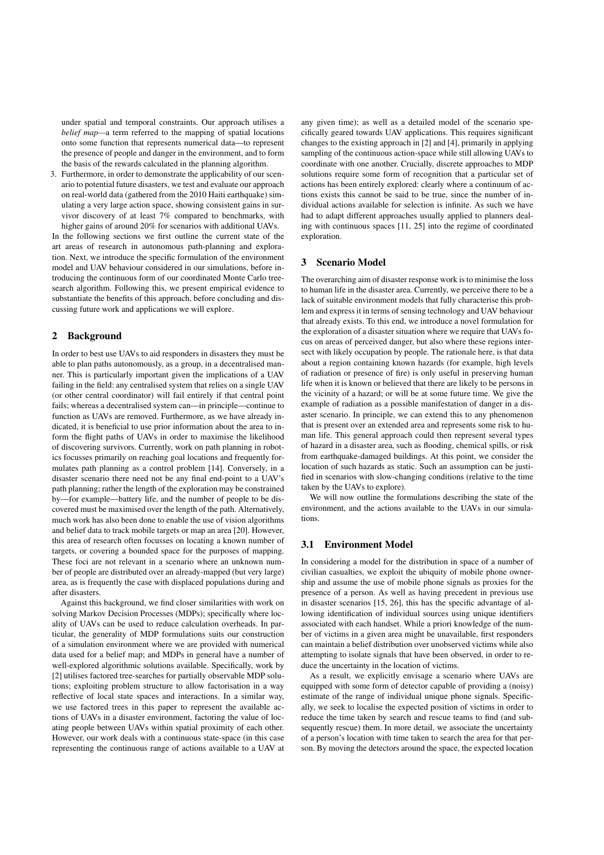under spatial and temporal constraints. Our approach utilises a *belief map—*a term referred to the mapping of spatial locations onto some function that represents numerical data—to represent the presence of people and danger in the environment, and to form the basis of the rewards calculated in the planning algorithm.

3. Furthermore, in order to demonstrate the applicability of our scenario to potential future disasters, we test and evaluate our approach on real-world data (gathered from the 2010 Haiti earthquake) simulating a very large action space, showing consistent gains in survivor discovery of at least 7% compared to benchmarks, with higher gains of around 20% for scenarios with additional UAVs.

In the following sections we first outline the current state of the art areas of research in autonomous path-planning and exploration. Next, we introduce the specific formulation of the environment model and UAV behaviour considered in our simulations, before introducing the continuous form of our coordinated Monte Carlo treesearch algorithm. Following this, we present empirical evidence to substantiate the benefits of this approach, before concluding and discussing future work and applications we will explore.

## 2 Background

In order to best use UAVs to aid responders in disasters they must be able to plan paths autonomously, as a group, in a decentralised manner. This is particularly important given the implications of a UAV failing in the field: any centralised system that relies on a single UAV (or other central coordinator) will fail entirely if that central point fails; whereas a decentralised system can—in principle—continue to function as UAVs are removed. Furthermore, as we have already indicated, it is beneficial to use prior information about the area to inform the flight paths of UAVs in order to maximise the likelihood of discovering survivors. Currently, work on path planning in robotics focusses primarily on reaching goal locations and frequently formulates path planning as a control problem [14]. Conversely, in a disaster scenario there need not be any final end-point to a UAV's path planning; rather the length of the exploration may be constrained by—for example—battery life, and the number of people to be discovered must be maximised over the length of the path. Alternatively, much work has also been done to enable the use of vision algorithms and belief data to track mobile targets or map an area [20]. However, this area of research often focusses on locating a known number of targets, or covering a bounded space for the purposes of mapping. These foci are not relevant in a scenario where an unknown number of people are distributed over an already-mapped (but very large) area, as is frequently the case with displaced populations during and after disasters.

Against this background, we find closer similarities with work on solving Markov Decision Processes (MDPs); specifically where locality of UAVs can be used to reduce calculation overheads. In particular, the generality of MDP formulations suits our construction of a simulation environment where we are provided with numerical data used for a belief map; and MDPs in general have a number of well-explored algorithmic solutions available. Specifically, work by [2] utilises factored tree-searches for partially observable MDP solutions; exploiting problem structure to allow factorisation in a way reflective of local state spaces and interactions. In a similar way, we use factored trees in this paper to represent the available actions of UAVs in a disaster environment, factoring the value of locating people between UAVs within spatial proximity of each other. However, our work deals with a continuous state-space (in this case representing the continuous range of actions available to a UAV at

any given time); as well as a detailed model of the scenario specifically geared towards UAV applications. This requires significant changes to the existing approach in [2] and [4], primarily in applying sampling of the continuous action-space while still allowing UAVs to coordinate with one another. Crucially, discrete approaches to MDP solutions require some form of recognition that a particular set of actions has been entirely explored: clearly where a continuum of actions exists this cannot be said to be true, since the number of individual actions available for selection is infinite. As such we have had to adapt different approaches usually applied to planners dealing with continuous spaces [11, 25] into the regime of coordinated exploration.

# 3 Scenario Model

The overarching aim of disaster response work is to minimise the loss to human life in the disaster area. Currently, we perceive there to be a lack of suitable environment models that fully characterise this problem and express it in terms of sensing technology and UAV behaviour that already exists. To this end, we introduce a novel formulation for the exploration of a disaster situation where we require that UAVs focus on areas of perceived danger, but also where these regions intersect with likely occupation by people. The rationale here, is that data about a region containing known hazards (for example, high levels of radiation or presence of fire) is only useful in preserving human life when it is known or believed that there are likely to be persons in the vicinity of a hazard; or will be at some future time. We give the example of radiation as a possible manifestation of danger in a disaster scenario. In principle, we can extend this to any phenomenon that is present over an extended area and represents some risk to human life. This general approach could then represent several types of hazard in a disaster area, such as flooding, chemical spills, or risk from earthquake-damaged buildings. At this point, we consider the location of such hazards as static. Such an assumption can be justified in scenarios with slow-changing conditions (relative to the time taken by the UAVs to explore).

We will now outline the formulations describing the state of the environment, and the actions available to the UAVs in our simulations.

## 3.1 Environment Model

In considering a model for the distribution in space of a number of civilian casualties, we exploit the ubiquity of mobile phone ownership and assume the use of mobile phone signals as proxies for the presence of a person. As well as having precedent in previous use in disaster scenarios [15, 26], this has the specific advantage of allowing identification of individual sources using unique identifiers associated with each handset. While a priori knowledge of the number of victims in a given area might be unavailable, first responders can maintain a belief distribution over unobserved victims while also attempting to isolate signals that have been observed, in order to reduce the uncertainty in the location of victims.

As a result, we explicitly envisage a scenario where UAVs are equipped with some form of detector capable of providing a (noisy) estimate of the range of individual unique phone signals. Specifically, we seek to localise the expected position of victims in order to reduce the time taken by search and rescue teams to find (and subsequently rescue) them. In more detail, we associate the uncertainty of a person's location with time taken to search the area for that person. By moving the detectors around the space, the expected location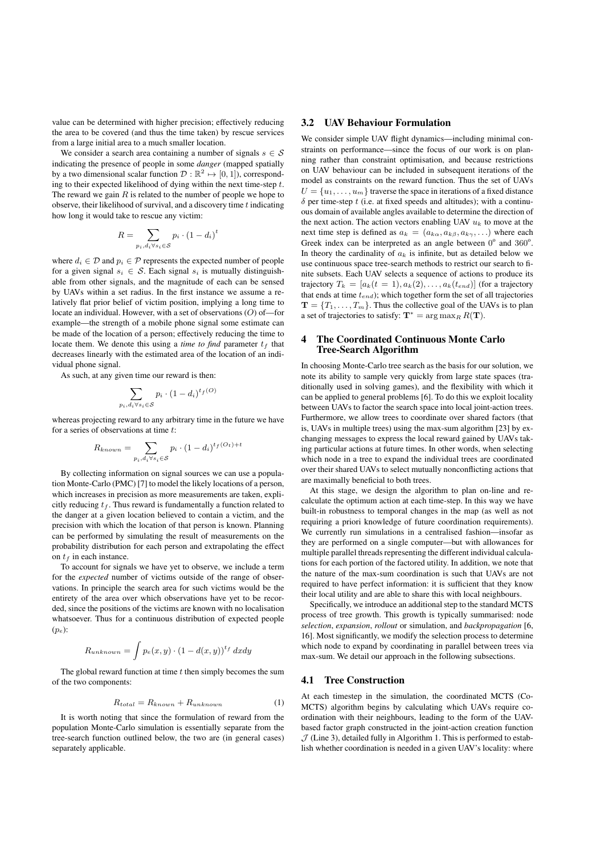value can be determined with higher precision; effectively reducing the area to be covered (and thus the time taken) by rescue services from a large initial area to a much smaller location.

We consider a search area containing a number of signals  $s \in S$ indicating the presence of people in some *danger* (mapped spatially by a two dimensional scalar function  $\mathcal{D}: \mathbb{R}^2 \mapsto [0, 1]$ ), corresponding to their expected likelihood of dying within the next time-step *t*. The reward we gain *R* is related to the number of people we hope to observe, their likelihood of survival, and a discovery time *t* indicating how long it would take to rescue any victim:

$$
R = \sum_{p_i, d_i \forall s_i \in \mathcal{S}} p_i \cdot (1 - d_i)^t
$$

where  $d_i \in \mathcal{D}$  and  $p_i \in \mathcal{P}$  represents the expected number of people for a given signal  $s_i \in S$ . Each signal  $s_i$  is mutually distinguishable from other signals, and the magnitude of each can be sensed by UAVs within a set radius. In the first instance we assume a relatively flat prior belief of victim position, implying a long time to locate an individual. However, with a set of observations (*O*) of—for example—the strength of a mobile phone signal some estimate can be made of the location of a person; effectively reducing the time to locate them. We denote this using a *time to find* parameter  $t_f$  that decreases linearly with the estimated area of the location of an individual phone signal.

As such, at any given time our reward is then:

$$
\sum_{p_i, d_i \forall s_i \in \mathcal{S}} p_i \cdot (1 - d_i)^{t_f(O)}
$$

whereas projecting reward to any arbitrary time in the future we have for a series of observations at time *t*:

$$
R_{known} = \sum_{p_i, d_i \forall s_i \in S} p_i \cdot (1 - d_i)^{t_f(O_t) + t}
$$

By collecting information on signal sources we can use a population Monte-Carlo (PMC) [7] to model the likely locations of a person, which increases in precision as more measurements are taken, explicitly reducing  $t_f$ . Thus reward is fundamentally a function related to the danger at a given location believed to contain a victim, and the precision with which the location of that person is known. Planning can be performed by simulating the result of measurements on the probability distribution for each person and extrapolating the effect on *t<sup>f</sup>* in each instance.

To account for signals we have yet to observe, we include a term for the *expected* number of victims outside of the range of observations. In principle the search area for such victims would be the entirety of the area over which observations have yet to be recorded, since the positions of the victims are known with no localisation whatsoever. Thus for a continuous distribution of expected people (*pe*):

$$
R_{unknown} = \int p_e(x, y) \cdot (1 - d(x, y))^{t_f} dx dy
$$

The global reward function at time *t* then simply becomes the sum of the two components:

$$
R_{total} = R_{known} + R_{unknown} \tag{1}
$$

It is worth noting that since the formulation of reward from the population Monte-Carlo simulation is essentially separate from the tree-search function outlined below, the two are (in general cases) separately applicable.

## 3.2 UAV Behaviour Formulation

We consider simple UAV flight dynamics—including minimal constraints on performance—since the focus of our work is on planning rather than constraint optimisation, and because restrictions on UAV behaviour can be included in subsequent iterations of the model as constraints on the reward function. Thus the set of UAVs  $U = \{u_1, \ldots, u_m\}$  traverse the space in iterations of a fixed distance  $\delta$  per time-step  $t$  (i.e. at fixed speeds and altitudes); with a continuous domain of available angles available to determine the direction of the next action. The action vectors enabling UAV  $u_k$  to move at the next time step is defined as  $a_k = (a_{k\alpha}, a_{k\beta}, a_{k\gamma}, \ldots)$  where each Greek index can be interpreted as an angle between  $0^{\circ}$  and  $360^{\circ}$ . In theory the cardinality of  $a_k$  is infinite, but as detailed below we use continuous space tree-search methods to restrict our search to finite subsets. Each UAV selects a sequence of actions to produce its trajectory  $T_k = [a_k(t = 1), a_k(2), \ldots, a_k(t_{end})]$  (for a trajectory that ends at time *tend*); which together form the set of all trajectories  $\mathbf{T} = \{T_1, \ldots, T_m\}$ . Thus the collective goal of the UAVs is to plan a set of trajectories to satisfy:  $T^* = \arg \max_R R(T)$ .

## 4 The Coordinated Continuous Monte Carlo Tree-Search Algorithm

In choosing Monte-Carlo tree search as the basis for our solution, we note its ability to sample very quickly from large state spaces (traditionally used in solving games), and the flexibility with which it can be applied to general problems [6]. To do this we exploit locality between UAVs to factor the search space into local joint-action trees. Furthermore, we allow trees to coordinate over shared factors (that is, UAVs in multiple trees) using the max-sum algorithm [23] by exchanging messages to express the local reward gained by UAVs taking particular actions at future times. In other words, when selecting which node in a tree to expand the individual trees are coordinated over their shared UAVs to select mutually nonconflicting actions that are maximally beneficial to both trees.

At this stage, we design the algorithm to plan on-line and recalculate the optimum action at each time-step. In this way we have built-in robustness to temporal changes in the map (as well as not requiring a priori knowledge of future coordination requirements). We currently run simulations in a centralised fashion—insofar as they are performed on a single computer—but with allowances for multiple parallel threads representing the different individual calculations for each portion of the factored utility. In addition, we note that the nature of the max-sum coordination is such that UAVs are not required to have perfect information: it is sufficient that they know their local utility and are able to share this with local neighbours.

Specifically, we introduce an additional step to the standard MCTS process of tree growth. This growth is typically summarised: node *selection*, *expansion*, *rollout* or simulation, and *backpropagation* [6, 16]. Most significantly, we modify the selection process to determine which node to expand by coordinating in parallel between trees via max-sum. We detail our approach in the following subsections.

#### 4.1 Tree Construction

At each timestep in the simulation, the coordinated MCTS (Co-MCTS) algorithm begins by calculating which UAVs require coordination with their neighbours, leading to the form of the UAVbased factor graph constructed in the joint-action creation function  $J$  (Line 3), detailed fully in Algorithm 1. This is performed to establish whether coordination is needed in a given UAV's locality: where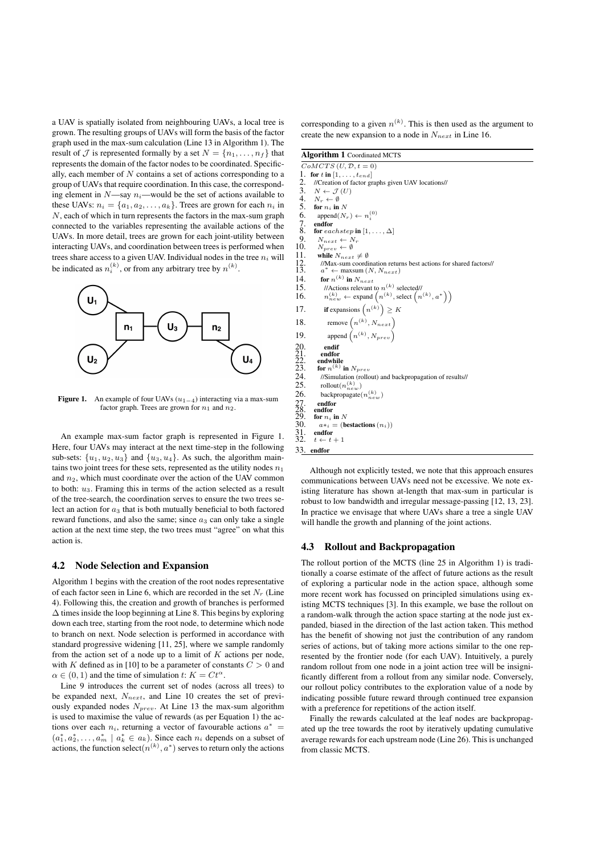a UAV is spatially isolated from neighbouring UAVs, a local tree is grown. The resulting groups of UAVs will form the basis of the factor graph used in the max-sum calculation (Line 13 in Algorithm 1). The result of  $\mathcal{J}$  is represented formally by a set  $N = \{n_1, \ldots, n_f\}$  that represents the domain of the factor nodes to be coordinated. Specifically, each member of *N* contains a set of actions corresponding to a group of UAVs that require coordination. In this case, the corresponding element in *N*—say *ni*—would be the set of actions available to these UAVs:  $n_i = \{a_1, a_2, \ldots, a_k\}$ . Trees are grown for each  $n_i$  in *N*, each of which in turn represents the factors in the max-sum graph connected to the variables representing the available actions of the UAVs. In more detail, trees are grown for each joint-utility between interacting UAVs, and coordination between trees is performed when trees share access to a given UAV. Individual nodes in the tree  $n_i$  will be indicated as  $n_i^{(k)}$ , or from any arbitrary tree by  $n^{(k)}$ .



Figure 1. An example of four UAVs  $(u_{1-4})$  interacting via a max-sum factor graph. Trees are grown for  $n_1$  and  $n_2$ .

An example max-sum factor graph is represented in Figure 1. Here, four UAVs may interact at the next time-step in the following sub-sets:  $\{u_1, u_2, u_3\}$  and  $\{u_3, u_4\}$ . As such, the algorithm maintains two joint trees for these sets, represented as the utility nodes  $n_1$ and  $n_2$ , which must coordinate over the action of the UAV common to both: *u*3. Framing this in terms of the action selected as a result of the tree-search, the coordination serves to ensure the two trees select an action for  $a_3$  that is both mutually beneficial to both factored reward functions, and also the same; since  $a_3$  can only take a single action at the next time step, the two trees must "agree" on what this action is.

## 4.2 Node Selection and Expansion

Algorithm 1 begins with the creation of the root nodes representative of each factor seen in Line 6, which are recorded in the set *N<sup>r</sup>* (Line 4). Following this, the creation and growth of branches is performed  $\Delta$  times inside the loop beginning at Line 8. This begins by exploring down each tree, starting from the root node, to determine which node to branch on next. Node selection is performed in accordance with standard progressive widening [11, 25], where we sample randomly from the action set of a node up to a limit of *K* actions per node, with *K* defined as in [10] to be a parameter of constants  $C > 0$  and  $\alpha \in (0, 1)$  and the time of simulation *t*:  $K = Ct^{\alpha}$ .

Line 9 introduces the current set of nodes (across all trees) to be expanded next, *Nnext*, and Line 10 creates the set of previously expanded nodes *Nprev*. At Line 13 the max-sum algorithm is used to maximise the value of rewards (as per Equation 1) the actions over each  $n_i$ , returning a vector of favourable actions  $a^*$  =  $(a_1^*, a_2^*, \ldots, a_m^* \mid a_k^* \in a_k)$ . Since each  $n_i$  depends on a subset of actions, the function select $(n^{(k)}, a^*)$  serves to return only the actions

corresponding to a given  $n^{(k)}$ . This is then used as the argument to create the new expansion to a node in *Nnext* in Line 16.

Algorithm 1 Coordinated MCTS  $CoMCTS$   $(U, D, t = 0)$ 1. for *t* in  $[1, \ldots, t_{end}]$ <br>2. //Creation of factor gr 2. //Creation of factor graphs given UAV locations//<br>3.  $N \leftarrow \mathcal{J}(U)$ 3.  $N \leftarrow \mathcal{J}(U)$ <br>4.  $N_r \leftarrow \emptyset$ 4.  $N_r \leftarrow \emptyset$ <br>5 for *n* in for  $n_i$  in  $N$ 6. append $(N_r) \leftarrow n_i^{(0)}$ 7. endfor<br>8. for  $ea$ for *eachstep* in  $[1, \ldots, \Delta]$ 9.  $N_{next} \leftarrow N_r$ <br>10.  $N_{area} \leftarrow \emptyset$ 10.  $N_{prev} \leftarrow \emptyset$ <br>11. while  $N_{next}$ while  $N_{next} \neq \emptyset$ 12. //Max-sum coordination returns best actions for shared factors//<br>13.  $a^* \leftarrow \text{maxsum} (N, N_{next})$ 14. for  $n^{(k)}$  in  $N_{next}$ 15. //Actions relevant to  $n^{(k)}$  selected// 16.  $n_{new}^{(k)} \leftarrow$  expand  $\left(n^{(k)}, \text{select}\left(n^{(k)}, a^*\right)\right)$ 17. **if** expansions  $\left(n^{(k)}\right) \geq K$ 18. remove  $(n^{(k)}, N_{next})$ 19. append  $(n^{(k)}, N_{prev})$ 20. endif<br>
21. endfor<br>
22. endwhil<br>
23. for  $n^{(k)}$ endfor endwhile 23. **for**  $n^{(k)}$  in  $N_{prev}$ <br>24. //Simulation (rollo 24. //Simulation (rollout) and backpropagation of results//<br>25. rollout( $n<sup>(k)</sup>$ ) 25. rollout $(n_{new}^{(k)})$ 26. backpropagate $(n_{new}^{(k)})$ 25. Forbod<br>
26. backp<br>
27. endfor<br>
28. endfor<br>
29. for  $n_i$  in endfor 29. for  $n_i$  in N<br>30.  $a*_i = (b$ 30.  $a*_i$  = (bestactions  $(n_i)$ )<br>31. **endfor**<br>32.  $t \leftarrow t + 1$ endfor  $t \leftarrow t + 1$ 33. endfor

Although not explicitly tested, we note that this approach ensures communications between UAVs need not be excessive. We note existing literature has shown at-length that max-sum in particular is robust to low bandwidth and irregular message-passing [12, 13, 23]. In practice we envisage that where UAVs share a tree a single UAV will handle the growth and planning of the joint actions.

## 4.3 Rollout and Backpropagation

The rollout portion of the MCTS (line 25 in Algorithm 1) is traditionally a coarse estimate of the affect of future actions as the result of exploring a particular node in the action space, although some more recent work has focussed on principled simulations using existing MCTS techniques [3]. In this example, we base the rollout on a random-walk through the action space starting at the node just expanded, biased in the direction of the last action taken. This method has the benefit of showing not just the contribution of any random series of actions, but of taking more actions similar to the one represented by the frontier node (for each UAV). Intuitively, a purely random rollout from one node in a joint action tree will be insignificantly different from a rollout from any similar node. Conversely, our rollout policy contributes to the exploration value of a node by indicating possible future reward through continued tree expansion with a preference for repetitions of the action itself.

Finally the rewards calculated at the leaf nodes are backpropagated up the tree towards the root by iteratively updating cumulative average rewards for each upstream node (Line 26). This is unchanged from classic MCTS.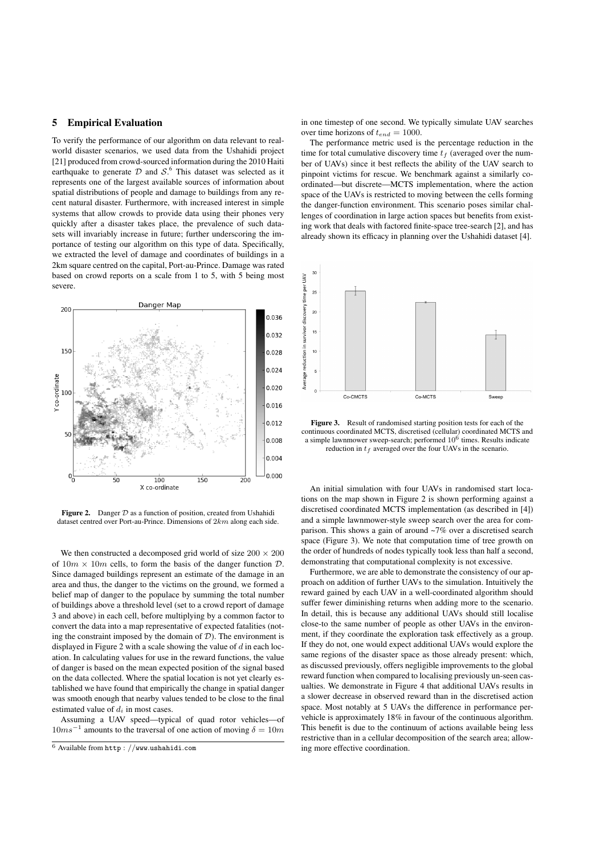## 5 Empirical Evaluation

To verify the performance of our algorithm on data relevant to realworld disaster scenarios, we used data from the Ushahidi project [21] produced from crowd-sourced information during the 2010 Haiti earthquake to generate  $D$  and  $S^6$ . This dataset was selected as it represents one of the largest available sources of information about spatial distributions of people and damage to buildings from any recent natural disaster. Furthermore, with increased interest in simple systems that allow crowds to provide data using their phones very quickly after a disaster takes place, the prevalence of such datasets will invariably increase in future; further underscoring the importance of testing our algorithm on this type of data. Specifically, we extracted the level of damage and coordinates of buildings in a 2km square centred on the capital, Port-au-Prince. Damage was rated based on crowd reports on a scale from 1 to 5, with 5 being most severe.



Figure 2. Danger  $D$  as a function of position, created from Ushahidi dataset centred over Port-au-Prince. Dimensions of 2*km* along each side.

We then constructed a decomposed grid world of size  $200 \times 200$ of  $10m \times 10m$  cells, to form the basis of the danger function  $D$ . Since damaged buildings represent an estimate of the damage in an area and thus, the danger to the victims on the ground, we formed a belief map of danger to the populace by summing the total number of buildings above a threshold level (set to a crowd report of damage 3 and above) in each cell, before multiplying by a common factor to convert the data into a map representative of expected fatalities (noting the constraint imposed by the domain of *D*). The environment is displayed in Figure 2 with a scale showing the value of *d* in each location. In calculating values for use in the reward functions, the value of danger is based on the mean expected position of the signal based on the data collected. Where the spatial location is not yet clearly established we have found that empirically the change in spatial danger was smooth enough that nearby values tended to be close to the final estimated value of *d<sup>i</sup>* in most cases.

Assuming a UAV speed—typical of quad rotor vehicles—of  $10ms^{-1}$  amounts to the traversal of one action of moving  $\delta = 10m$ 

in one timestep of one second. We typically simulate UAV searches over time horizons of *tend* = 1000.

The performance metric used is the percentage reduction in the time for total cumulative discovery time  $t_f$  (averaged over the number of UAVs) since it best reflects the ability of the UAV search to pinpoint victims for rescue. We benchmark against a similarly coordinated—but discrete—MCTS implementation, where the action space of the UAVs is restricted to moving between the cells forming the danger-function environment. This scenario poses similar challenges of coordination in large action spaces but benefits from existing work that deals with factored finite-space tree-search [2], and has already shown its efficacy in planning over the Ushahidi dataset [4].



Figure 3. Result of randomised starting position tests for each of the continuous coordinated MCTS, discretised (cellular) coordinated MCTS and a simple lawnmower sweep-search; performed  $10^6$  times. Results indicate reduction in  $t_f$  averaged over the four UAVs in the scenario.

An initial simulation with four UAVs in randomised start locations on the map shown in Figure 2 is shown performing against a discretised coordinated MCTS implementation (as described in [4]) and a simple lawnmower-style sweep search over the area for comparison. This shows a gain of around ~7% over a discretised search space (Figure 3). We note that computation time of tree growth on the order of hundreds of nodes typically took less than half a second, demonstrating that computational complexity is not excessive.

Furthermore, we are able to demonstrate the consistency of our approach on addition of further UAVs to the simulation. Intuitively the reward gained by each UAV in a well-coordinated algorithm should suffer fewer diminishing returns when adding more to the scenario. In detail, this is because any additional UAVs should still localise close-to the same number of people as other UAVs in the environment, if they coordinate the exploration task effectively as a group. If they do not, one would expect additional UAVs would explore the same regions of the disaster space as those already present: which, as discussed previously, offers negligible improvements to the global reward function when compared to localising previously un-seen casualties. We demonstrate in Figure 4 that additional UAVs results in a slower decrease in observed reward than in the discretised action space. Most notably at 5 UAVs the difference in performance pervehicle is approximately 18% in favour of the continuous algorithm. This benefit is due to the continuum of actions available being less restrictive than in a cellular decomposition of the search area; allowing more effective coordination.

<sup>6</sup> Available from http : *//*www*.*ushahidi*.*com